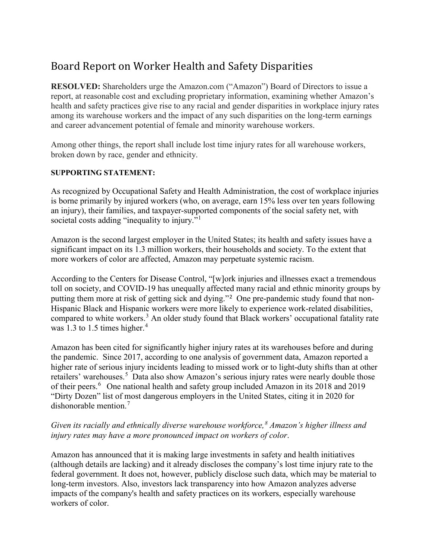## Board Report on Worker Health and Safety Disparities

**RESOLVED:** Shareholders urge the Amazon.com ("Amazon") Board of Directors to issue a report, at reasonable cost and excluding proprietary information, examining whether Amazon's health and safety practices give rise to any racial and gender disparities in workplace injury rates among its warehouse workers and the impact of any such disparities on the long-term earnings and career advancement potential of female and minority warehouse workers.

Among other things, the report shall include lost time injury rates for all warehouse workers, broken down by race, gender and ethnicity.

## **SUPPORTING STATEMENT:**

As recognized by Occupational Safety and Health Administration, the cost of workplace injuries is borne primarily by injured workers (who, on average, earn 15% less over ten years following an injury), their families, and taxpayer-supported components of the social safety net, with societal costs adding "inequality to injury."<sup>[1](#page-1-0)</sup>

Amazon is the second largest employer in the United States; its health and safety issues have a significant impact on its 1.3 million workers, their households and society. To the extent that more workers of color are affected, Amazon may perpetuate systemic racism.

According to the Centers for Disease Control, "[w]ork injuries and illnesses exact a tremendous toll on society, and COVID-19 has unequally affected many racial and ethnic minority groups by putting them more at risk of getting sick and dying."[2](#page-1-1) One pre-pandemic study found that non-Hispanic Black and Hispanic workers were more likely to experience work-related disabilities, compared to white workers. [3](#page-1-2) An older study found that Black workers' occupational fatality rate was 1.3 to 1.5 times higher.<sup>[4](#page-1-3)</sup>

Amazon has been cited for significantly higher injury rates at its warehouses before and during the pandemic. Since 2017, according to one analysis of government data, Amazon reported a higher rate of serious injury incidents leading to missed work or to light-duty shifts than at other retailers' warehouses.<sup>[5](#page-1-4)</sup> Data also show Amazon's serious injury rates were nearly double those of their peers. [6](#page-1-5) One national health and safety group included Amazon in its 2018 and 2019 "Dirty Dozen" list of most dangerous employers in the United States, citing it in 2020 for dishonorable mention. [7](#page-1-6)

## *Given its racially and ethnically diverse warehouse workforce,[8](#page-1-7) Amazon's higher illness and injury rates may have a more pronounced impact on workers of color*.

Amazon has announced that it is making large investments in safety and health initiatives (although details are lacking) and it already discloses the company's lost time injury rate to the federal government. It does not, however, publicly disclose such data, which may be material to long-term investors. Also, investors lack transparency into how Amazon analyzes adverse impacts of the company's health and safety practices on its workers, especially warehouse workers of color.